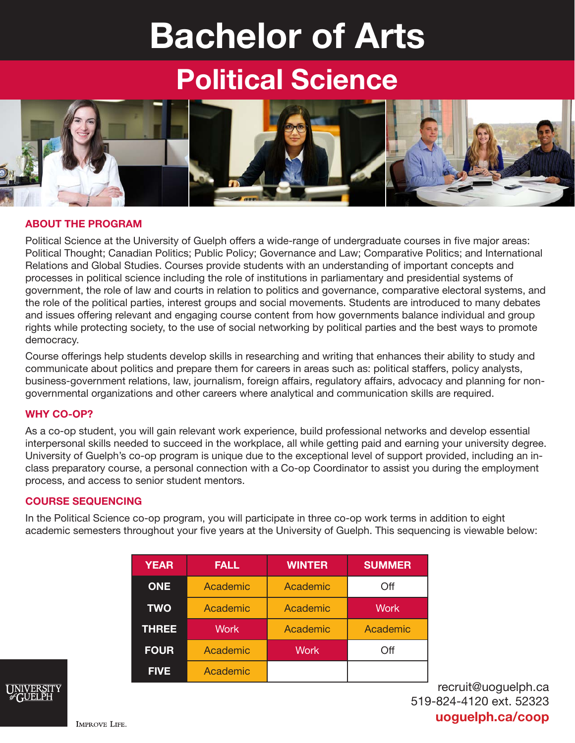# Bachelor of Arts

## Political Science



#### ABOUT THE PROGRAM

Political Science at the University of Guelph offers a wide-range of undergraduate courses in five major areas: Political Thought; Canadian Politics; Public Policy; Governance and Law; Comparative Politics; and International Relations and Global Studies. Courses provide students with an understanding of important concepts and processes in political science including the role of institutions in parliamentary and presidential systems of government, the role of law and courts in relation to politics and governance, comparative electoral systems, and the role of the political parties, interest groups and social movements. Students are introduced to many debates and issues offering relevant and engaging course content from how governments balance individual and group rights while protecting society, to the use of social networking by political parties and the best ways to promote democracy.

Course offerings help students develop skills in researching and writing that enhances their ability to study and communicate about politics and prepare them for careers in areas such as: political staffers, policy analysts, business-government relations, law, journalism, foreign affairs, regulatory affairs, advocacy and planning for nongovernmental organizations and other careers where analytical and communication skills are required.

#### WHY CO-OP?

As a co-op student, you will gain relevant work experience, build professional networks and develop essential interpersonal skills needed to succeed in the workplace, all while getting paid and earning your university degree. University of Guelph's co-op program is unique due to the exceptional level of support provided, including an inclass preparatory course, a personal connection with a Co-op Coordinator to assist you during the employment process, and access to senior student mentors.

#### COURSE SEQUENCING

In the Political Science co-op program, you will participate in three co-op work terms in addition to eight academic semesters throughout your five years at the University of Guelph. This sequencing is viewable below:

| <b>YEAR</b>  | <b>FALL</b> | <b>WINTER</b> | <b>SUMMER</b> |
|--------------|-------------|---------------|---------------|
| <b>ONE</b>   | Academic    | Academic      | Off           |
| <b>TWO</b>   | Academic    | Academic      | <b>Work</b>   |
| <b>THREE</b> | <b>Work</b> | Academic      | Academic      |
| <b>FOUR</b>  | Academic    | <b>Work</b>   | Off           |
| <b>FIVE</b>  | Academic    |               |               |

recruit@uoguelph.ca 519-824-4120 ext. 52323 uoguelph.ca/coop